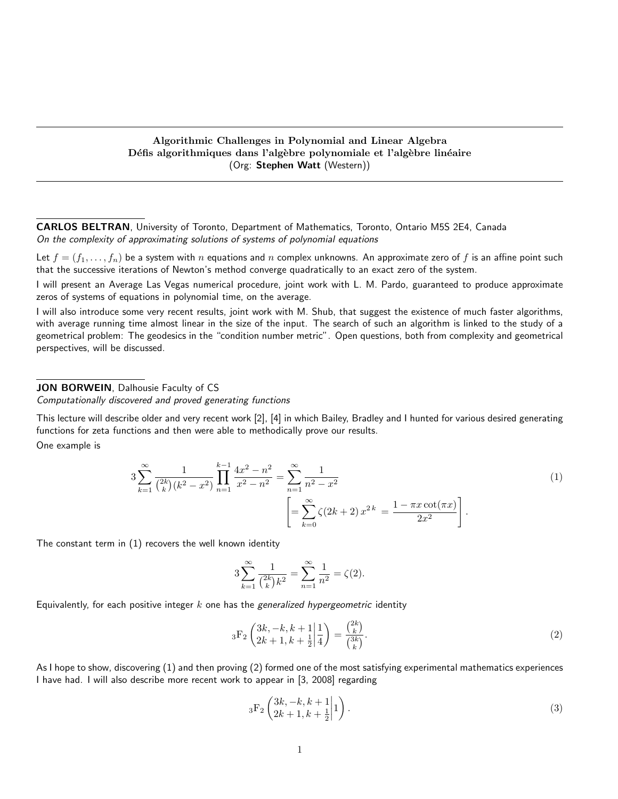## Algorithmic Challenges in Polynomial and Linear Algebra Défis algorithmiques dans l'algèbre polynomiale et l'algèbre linéaire (Org: Stephen Watt (Western))

CARLOS BELTRAN, University of Toronto, Department of Mathematics, Toronto, Ontario M5S 2E4, Canada On the complexity of approximating solutions of systems of polynomial equations

Let  $f = (f_1, \ldots, f_n)$  be a system with n equations and n complex unknowns. An approximate zero of f is an affine point such that the successive iterations of Newton's method converge quadratically to an exact zero of the system.

I will present an Average Las Vegas numerical procedure, joint work with L. M. Pardo, guaranteed to produce approximate zeros of systems of equations in polynomial time, on the average.

I will also introduce some very recent results, joint work with M. Shub, that suggest the existence of much faster algorithms, with average running time almost linear in the size of the input. The search of such an algorithm is linked to the study of a geometrical problem: The geodesics in the "condition number metric". Open questions, both from complexity and geometrical perspectives, will be discussed.

#### JON BORWEIN, Dalhousie Faculty of CS

Computationally discovered and proved generating functions

This lecture will describe older and very recent work [2], [4] in which Bailey, Bradley and I hunted for various desired generating functions for zeta functions and then were able to methodically prove our results.

One example is

$$
3\sum_{k=1}^{\infty} \frac{1}{\binom{2k}{k} (k^2 - x^2)} \prod_{n=1}^{k-1} \frac{4x^2 - n^2}{x^2 - n^2} = \sum_{n=1}^{\infty} \frac{1}{n^2 - x^2}
$$
  

$$
\left[ = \sum_{k=0}^{\infty} \zeta(2k+2) x^{2k} = \frac{1 - \pi x \cot(\pi x)}{2x^2} \right].
$$
 (1)

The constant term in (1) recovers the well known identity

$$
3\sum_{k=1}^{\infty} \frac{1}{\binom{2k}{k}k^2} = \sum_{n=1}^{\infty} \frac{1}{n^2} = \zeta(2).
$$

Equivalently, for each positive integer  $k$  one has the generalized hypergeometric identity

$$
{}_{3}F_{2}\left(\frac{3k, -k, k+1}{2k+1, k+\frac{1}{2}}\bigg|\frac{1}{4}\right) = \frac{\binom{2k}{k}}{\binom{3k}{k}}.\tag{2}
$$

As I hope to show, discovering (1) and then proving (2) formed one of the most satisfying experimental mathematics experiences I have had. I will also describe more recent work to appear in [3, 2008] regarding

$$
{}_{3}F_{2}\left(\frac{3k, -k, k+1}{2k+1, k+\frac{1}{2}}\middle|1\right). \tag{3}
$$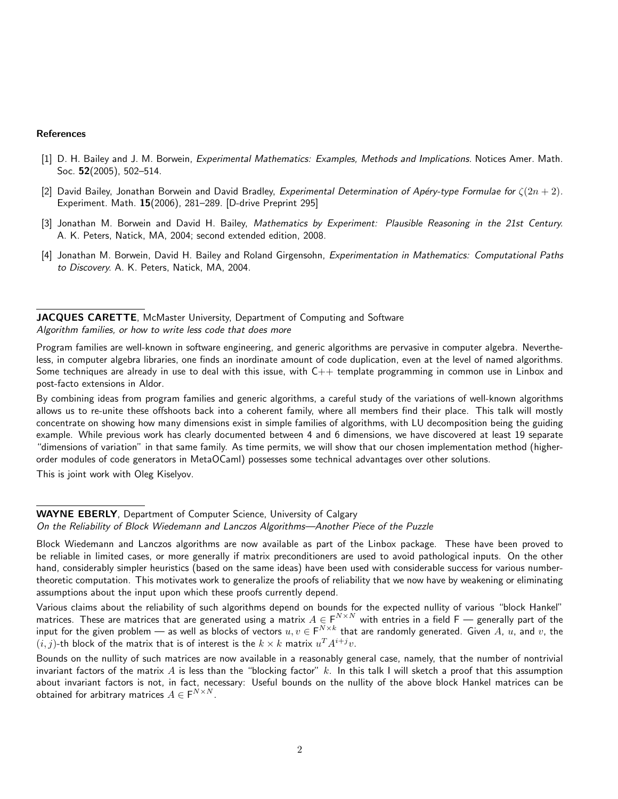#### References

- [1] D. H. Bailey and J. M. Borwein, *Experimental Mathematics: Examples, Methods and Implications*. Notices Amer. Math. Soc. 52(2005), 502–514.
- [2] David Bailey, Jonathan Borwein and David Bradley, Experimental Determination of Apéry-type Formulae for  $\zeta(2n+2)$ . Experiment. Math. 15(2006), 281–289. [D-drive Preprint 295]
- [3] Jonathan M. Borwein and David H. Bailey, Mathematics by Experiment: Plausible Reasoning in the 21st Century. A. K. Peters, Natick, MA, 2004; second extended edition, 2008.
- [4] Jonathan M. Borwein, David H. Bailey and Roland Girgensohn, Experimentation in Mathematics: Computational Paths to Discovery. A. K. Peters, Natick, MA, 2004.

JACQUES CARETTE, McMaster University, Department of Computing and Software Algorithm families, or how to write less code that does more

Program families are well-known in software engineering, and generic algorithms are pervasive in computer algebra. Nevertheless, in computer algebra libraries, one finds an inordinate amount of code duplication, even at the level of named algorithms. Some techniques are already in use to deal with this issue, with C++ template programming in common use in Linbox and post-facto extensions in Aldor.

By combining ideas from program families and generic algorithms, a careful study of the variations of well-known algorithms allows us to re-unite these offshoots back into a coherent family, where all members find their place. This talk will mostly concentrate on showing how many dimensions exist in simple families of algorithms, with LU decomposition being the guiding example. While previous work has clearly documented between 4 and 6 dimensions, we have discovered at least 19 separate "dimensions of variation" in that same family. As time permits, we will show that our chosen implementation method (higherorder modules of code generators in MetaOCaml) possesses some technical advantages over other solutions.

This is joint work with Oleg Kiselyov.

Various claims about the reliability of such algorithms depend on bounds for the expected nullity of various "block Hankel" matrices. These are matrices that are generated using a matrix  $A\in F^{N\times N}$  with entries in a field F — generally part of the input for the given problem — as well as blocks of vectors  $u,v\in F^{N\times k}$  that are randomly generated. Given  $A$ ,  $u$ , and  $v$ , the  $(i,j)$ -th block of the matrix that is of interest is the  $k \times k$  matrix  $u^T A^{i+j} v.$ 

Bounds on the nullity of such matrices are now available in a reasonably general case, namely, that the number of nontrivial invariant factors of the matrix  $A$  is less than the "blocking factor"  $k$ . In this talk I will sketch a proof that this assumption about invariant factors is not, in fact, necessary: Useful bounds on the nullity of the above block Hankel matrices can be obtained for arbitrary matrices  $A \in \mathsf{F}^{N \times N}$ .

WAYNE EBERLY, Department of Computer Science, University of Calgary On the Reliability of Block Wiedemann and Lanczos Algorithms—Another Piece of the Puzzle

Block Wiedemann and Lanczos algorithms are now available as part of the Linbox package. These have been proved to be reliable in limited cases, or more generally if matrix preconditioners are used to avoid pathological inputs. On the other hand, considerably simpler heuristics (based on the same ideas) have been used with considerable success for various numbertheoretic computation. This motivates work to generalize the proofs of reliability that we now have by weakening or eliminating assumptions about the input upon which these proofs currently depend.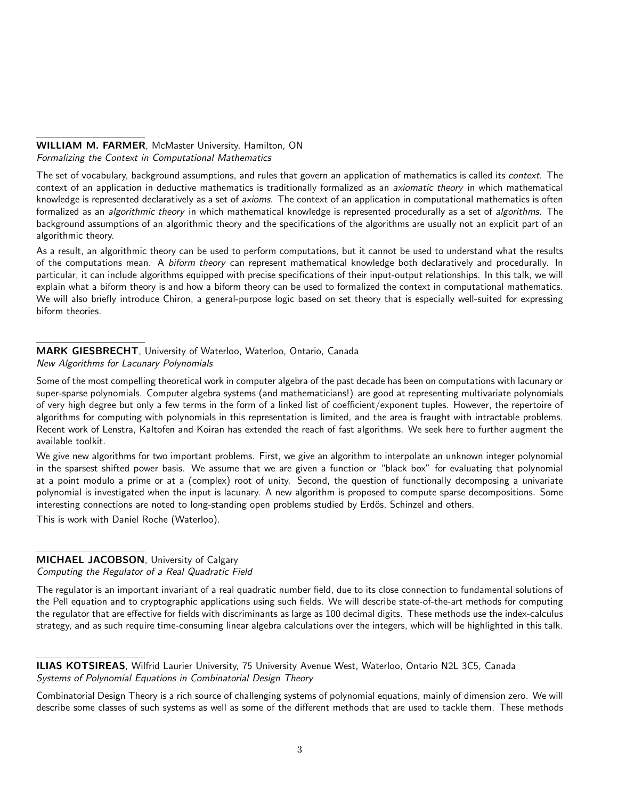## WILLIAM M. FARMER, McMaster University, Hamilton, ON Formalizing the Context in Computational Mathematics

The set of vocabulary, background assumptions, and rules that govern an application of mathematics is called its context. The context of an application in deductive mathematics is traditionally formalized as an axiomatic theory in which mathematical knowledge is represented declaratively as a set of axioms. The context of an application in computational mathematics is often formalized as an algorithmic theory in which mathematical knowledge is represented procedurally as a set of algorithms. The background assumptions of an algorithmic theory and the specifications of the algorithms are usually not an explicit part of an algorithmic theory.

As a result, an algorithmic theory can be used to perform computations, but it cannot be used to understand what the results of the computations mean. A biform theory can represent mathematical knowledge both declaratively and procedurally. In particular, it can include algorithms equipped with precise specifications of their input-output relationships. In this talk, we will explain what a biform theory is and how a biform theory can be used to formalized the context in computational mathematics. We will also briefly introduce Chiron, a general-purpose logic based on set theory that is especially well-suited for expressing biform theories.

## MARK GIESBRECHT, University of Waterloo, Waterloo, Ontario, Canada New Algorithms for Lacunary Polynomials

Some of the most compelling theoretical work in computer algebra of the past decade has been on computations with lacunary or super-sparse polynomials. Computer algebra systems (and mathematicians!) are good at representing multivariate polynomials of very high degree but only a few terms in the form of a linked list of coefficient/exponent tuples. However, the repertoire of algorithms for computing with polynomials in this representation is limited, and the area is fraught with intractable problems. Recent work of Lenstra, Kaltofen and Koiran has extended the reach of fast algorithms. We seek here to further augment the available toolkit.

We give new algorithms for two important problems. First, we give an algorithm to interpolate an unknown integer polynomial in the sparsest shifted power basis. We assume that we are given a function or "black box" for evaluating that polynomial at a point modulo a prime or at a (complex) root of unity. Second, the question of functionally decomposing a univariate polynomial is investigated when the input is lacunary. A new algorithm is proposed to compute sparse decompositions. Some interesting connections are noted to long-standing open problems studied by Erdős, Schinzel and others.

This is work with Daniel Roche (Waterloo).

## MICHAEL JACOBSON, University of Calgary

Computing the Regulator of a Real Quadratic Field

The regulator is an important invariant of a real quadratic number field, due to its close connection to fundamental solutions of the Pell equation and to cryptographic applications using such fields. We will describe state-of-the-art methods for computing the regulator that are effective for fields with discriminants as large as 100 decimal digits. These methods use the index-calculus strategy, and as such require time-consuming linear algebra calculations over the integers, which will be highlighted in this talk.

Combinatorial Design Theory is a rich source of challenging systems of polynomial equations, mainly of dimension zero. We will describe some classes of such systems as well as some of the different methods that are used to tackle them. These methods

ILIAS KOTSIREAS, Wilfrid Laurier University, 75 University Avenue West, Waterloo, Ontario N2L 3C5, Canada Systems of Polynomial Equations in Combinatorial Design Theory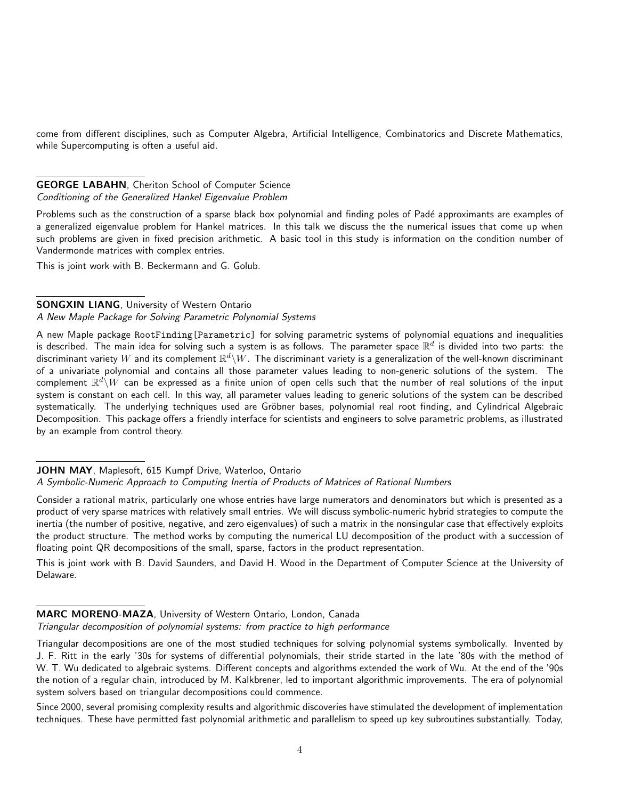come from different disciplines, such as Computer Algebra, Artificial Intelligence, Combinatorics and Discrete Mathematics, while Supercomputing is often a useful aid.

## GEORGE LABAHN, Cheriton School of Computer Science Conditioning of the Generalized Hankel Eigenvalue Problem

Problems such as the construction of a sparse black box polynomial and finding poles of Padé approximants are examples of a generalized eigenvalue problem for Hankel matrices. In this talk we discuss the the numerical issues that come up when such problems are given in fixed precision arithmetic. A basic tool in this study is information on the condition number of Vandermonde matrices with complex entries.

This is joint work with B. Beckermann and G. Golub.

## SONGXIN LIANG, University of Western Ontario

## A New Maple Package for Solving Parametric Polynomial Systems

A new Maple package RootFinding[Parametric] for solving parametric systems of polynomial equations and inequalities is described. The main idea for solving such a system is as follows. The parameter space  $\R^d$  is divided into two parts: the discriminant variety  $W$  and its complement  $\R^d\backslash W$ . The discriminant variety is a generalization of the well-known discriminant of a univariate polynomial and contains all those parameter values leading to non-generic solutions of the system. The complement  $\R^d\backslash W$  can be expressed as a finite union of open cells such that the number of real solutions of the input system is constant on each cell. In this way, all parameter values leading to generic solutions of the system can be described systematically. The underlying techniques used are Gröbner bases, polynomial real root finding, and Cylindrical Algebraic Decomposition. This package offers a friendly interface for scientists and engineers to solve parametric problems, as illustrated by an example from control theory.

#### JOHN MAY, Maplesoft, 615 Kumpf Drive, Waterloo, Ontario

## A Symbolic-Numeric Approach to Computing Inertia of Products of Matrices of Rational Numbers

Consider a rational matrix, particularly one whose entries have large numerators and denominators but which is presented as a product of very sparse matrices with relatively small entries. We will discuss symbolic-numeric hybrid strategies to compute the inertia (the number of positive, negative, and zero eigenvalues) of such a matrix in the nonsingular case that effectively exploits the product structure. The method works by computing the numerical LU decomposition of the product with a succession of floating point QR decompositions of the small, sparse, factors in the product representation.

This is joint work with B. David Saunders, and David H. Wood in the Department of Computer Science at the University of Delaware.

## MARC MORENO-MAZA, University of Western Ontario, London, Canada

Triangular decomposition of polynomial systems: from practice to high performance

Triangular decompositions are one of the most studied techniques for solving polynomial systems symbolically. Invented by J. F. Ritt in the early '30s for systems of differential polynomials, their stride started in the late '80s with the method of W. T. Wu dedicated to algebraic systems. Different concepts and algorithms extended the work of Wu. At the end of the '90s the notion of a regular chain, introduced by M. Kalkbrener, led to important algorithmic improvements. The era of polynomial system solvers based on triangular decompositions could commence.

Since 2000, several promising complexity results and algorithmic discoveries have stimulated the development of implementation techniques. These have permitted fast polynomial arithmetic and parallelism to speed up key subroutines substantially. Today,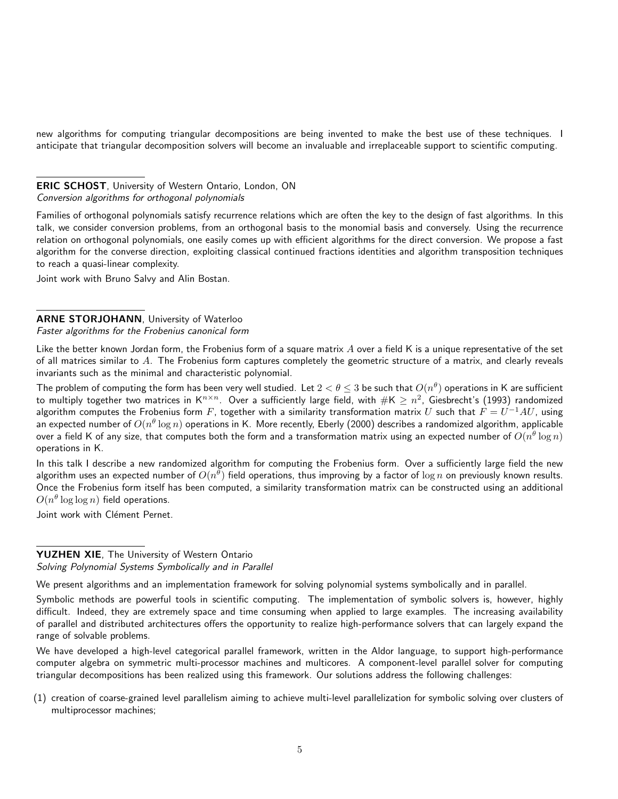new algorithms for computing triangular decompositions are being invented to make the best use of these techniques. I anticipate that triangular decomposition solvers will become an invaluable and irreplaceable support to scientific computing.

ERIC SCHOST, University of Western Ontario, London, ON Conversion algorithms for orthogonal polynomials

Families of orthogonal polynomials satisfy recurrence relations which are often the key to the design of fast algorithms. In this talk, we consider conversion problems, from an orthogonal basis to the monomial basis and conversely. Using the recurrence relation on orthogonal polynomials, one easily comes up with efficient algorithms for the direct conversion. We propose a fast algorithm for the converse direction, exploiting classical continued fractions identities and algorithm transposition techniques to reach a quasi-linear complexity.

Joint work with Bruno Salvy and Alin Bostan.

# ARNE STORJOHANN, University of Waterloo

Faster algorithms for the Frobenius canonical form

Like the better known Jordan form, the Frobenius form of a square matrix  $A$  over a field K is a unique representative of the set of all matrices similar to  $A$ . The Frobenius form captures completely the geometric structure of a matrix, and clearly reveals invariants such as the minimal and characteristic polynomial.

The problem of computing the form has been very well studied. Let  $2<\theta\leq3$  be such that  $O(n^\theta)$  operations in K are sufficient to multiply together two matrices in K $^{n\times n}.$  Over a sufficiently large field, with  $\#\mathsf{K}\ge n^2.$  Giesbrecht's (1993) randomized algorithm computes the Frobenius form  $F$ , together with a similarity transformation matrix  $U$  such that  $F=U^{-1}AU$ , using an expected number of  $O(n^\theta \log n)$  operations in K. More recently, Eberly (2000) describes a randomized algorithm, applicable over a field K of any size, that computes both the form and a transformation matrix using an expected number of  $O(n^{\theta}\log n)$ operations in K.

In this talk I describe a new randomized algorithm for computing the Frobenius form. Over a sufficiently large field the new algorithm uses an expected number of  $O(n^\theta)$  field operations, thus improving by a factor of  $\log n$  on previously known results. Once the Frobenius form itself has been computed, a similarity transformation matrix can be constructed using an additional  $O(n^{\theta} \log \log n)$  field operations.

Joint work with Clément Pernet.

## YUZHEN XIE, The University of Western Ontario Solving Polynomial Systems Symbolically and in Parallel

We present algorithms and an implementation framework for solving polynomial systems symbolically and in parallel.

We have developed a high-level categorical parallel framework, written in the Aldor language, to support high-performance computer algebra on symmetric multi-processor machines and multicores. A component-level parallel solver for computing triangular decompositions has been realized using this framework. Our solutions address the following challenges:

Symbolic methods are powerful tools in scientific computing. The implementation of symbolic solvers is, however, highly difficult. Indeed, they are extremely space and time consuming when applied to large examples. The increasing availability of parallel and distributed architectures offers the opportunity to realize high-performance solvers that can largely expand the range of solvable problems.

<sup>(1)</sup> creation of coarse-grained level parallelism aiming to achieve multi-level parallelization for symbolic solving over clusters of multiprocessor machines;